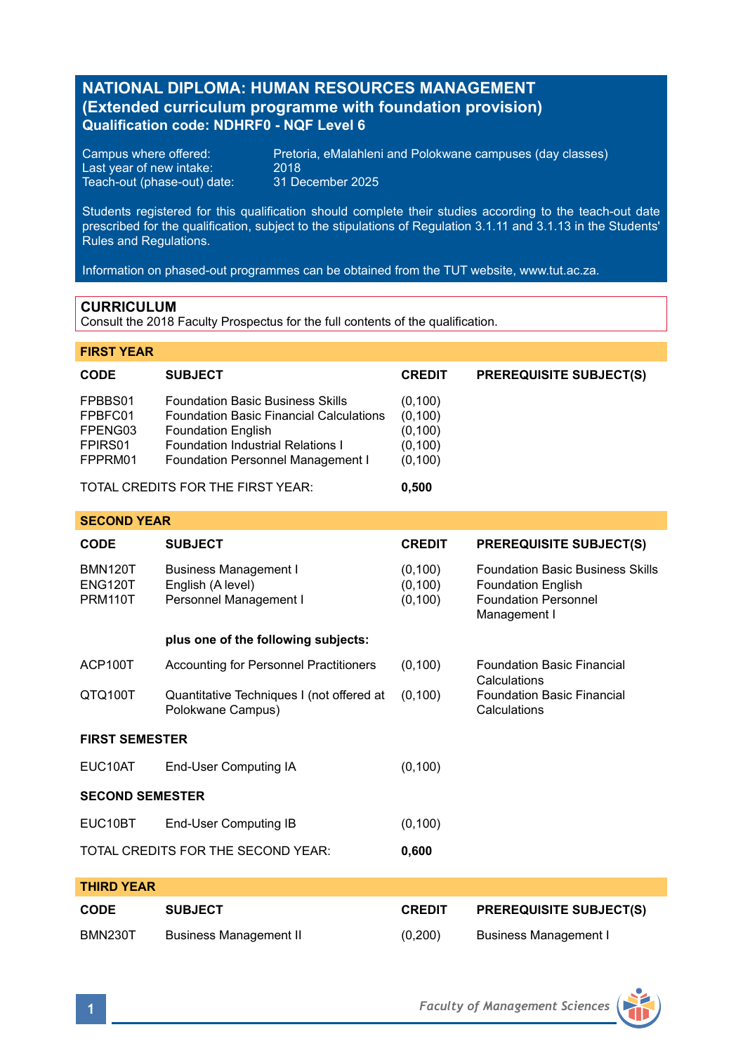# **NATIONAL DIPLOMA: HUMAN RESOURCES MANAGEMENT (Extended curriculum programme with foundation provision) Qualification code: NDHRF0 - NQF Level 6**

Last year of new intake: 2018 Teach-out (phase-out) date:

Campus where offered: Pretoria, eMalahleni and Polokwane campuses (day classes)<br>Last year of new intake: 2018

Students registered for this qualification should complete their studies according to the teach-out date prescribed for the qualification, subject to the stipulations of Regulation 3.1.11 and 3.1.13 in the Students' Rules and Regulations.

Information on phased-out programmes can be obtained from the TUT website, www.tut.ac.za.

# **CURRICULUM**

Consult the 2018 Faculty Prospectus for the full contents of the qualification.

### **FIRST YEAR**

**SECOND VEAP** 

| <b>CODE</b>                                                     | <b>SUBJECT</b>                                                                                                                                                                                          | <b>CREDIT</b>                                           | <b>PREREQUISITE SUBJECT(S)</b> |
|-----------------------------------------------------------------|---------------------------------------------------------------------------------------------------------------------------------------------------------------------------------------------------------|---------------------------------------------------------|--------------------------------|
| FPBBS01<br>FPBFC01<br>FPENG03<br>FPIRS <sub>01</sub><br>FPPRM01 | <b>Foundation Basic Business Skills</b><br><b>Foundation Basic Financial Calculations</b><br><b>Foundation English</b><br><b>Foundation Industrial Relations I</b><br>Foundation Personnel Management I | (0,100)<br>(0, 100)<br>(0, 100)<br>(0, 100)<br>(0, 100) |                                |
| TOTAL CREDITS FOR THE FIRST YEAR:                               |                                                                                                                                                                                                         | 0.500                                                   |                                |

| <b>SUBJECT</b><br><b>Business Management I</b><br>English (A level)<br>Personnel Management I | <b>CREDIT</b><br>(0, 100)<br>(0, 100) | <b>PREREQUISITE SUBJECT(S)</b><br><b>Foundation Basic Business Skills</b><br><b>Foundation English</b> |  |  |  |
|-----------------------------------------------------------------------------------------------|---------------------------------------|--------------------------------------------------------------------------------------------------------|--|--|--|
|                                                                                               |                                       |                                                                                                        |  |  |  |
|                                                                                               |                                       | <b>Foundation Personnel</b><br>Management I                                                            |  |  |  |
| plus one of the following subjects:                                                           |                                       |                                                                                                        |  |  |  |
| Accounting for Personnel Practitioners                                                        | (0, 100)                              | <b>Foundation Basic Financial</b><br>Calculations                                                      |  |  |  |
| Quantitative Techniques I (not offered at<br>Polokwane Campus)                                | (0, 100)                              | <b>Foundation Basic Financial</b><br>Calculations                                                      |  |  |  |
| <b>FIRST SEMESTER</b>                                                                         |                                       |                                                                                                        |  |  |  |
| End-User Computing IA                                                                         | (0, 100)                              |                                                                                                        |  |  |  |
| <b>SECOND SEMESTER</b>                                                                        |                                       |                                                                                                        |  |  |  |
| End-User Computing IB                                                                         | (0, 100)                              |                                                                                                        |  |  |  |
| TOTAL CREDITS FOR THE SECOND YEAR:<br>0,600                                                   |                                       |                                                                                                        |  |  |  |
|                                                                                               |                                       | (0, 100)                                                                                               |  |  |  |

| THIRD YEAR |                        |               |                                |  |  |
|------------|------------------------|---------------|--------------------------------|--|--|
| CODE       | <b>SUBJECT</b>         | <b>CREDIT</b> | <b>PREREQUISITE SUBJECT(S)</b> |  |  |
| BMN230T    | Business Management II | (0,200)       | Business Management I          |  |  |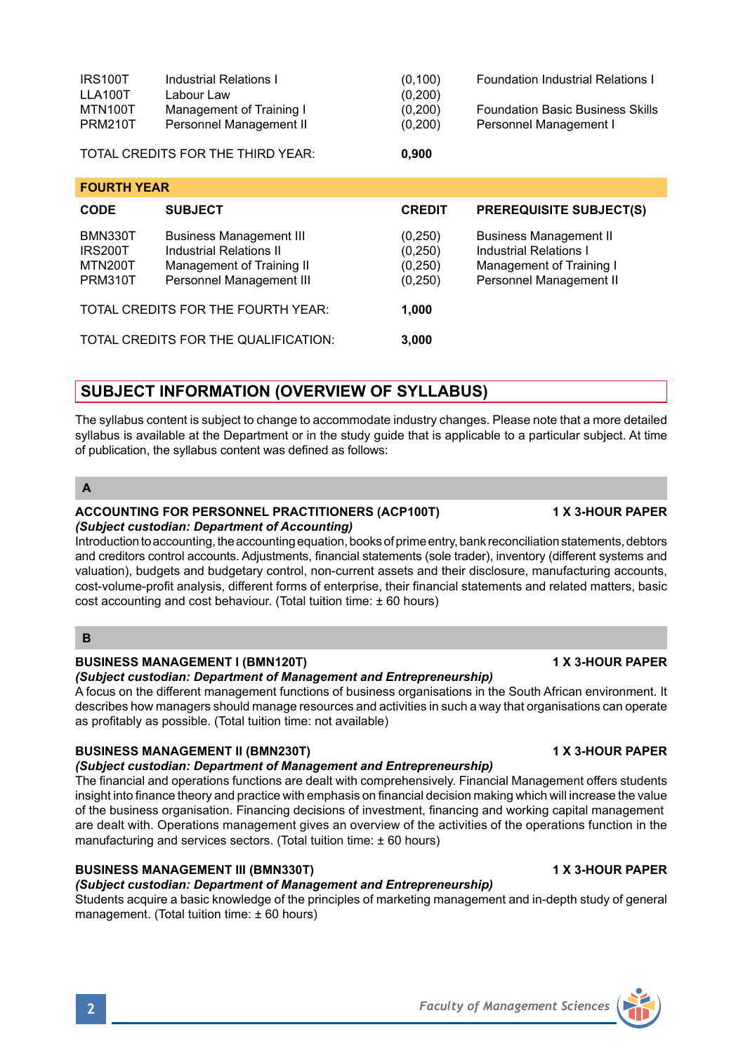| <b>BUSINESS MANAGEMENT I (BMN120T)</b>                                                                                                                                                                                                                                                       | <b>1 X 3-HOUR PAPER</b> |  |  |  |  |
|----------------------------------------------------------------------------------------------------------------------------------------------------------------------------------------------------------------------------------------------------------------------------------------------|-------------------------|--|--|--|--|
| (Subject custodian: Department of Management and Entrepreneurship)                                                                                                                                                                                                                           |                         |  |  |  |  |
| A focus on the different management functions of business organisations in the South African environment. It<br>describes how managers should manage resources and activities in such a way that organisations can operate<br>as profitably as possible. (Total tuition time: not available) |                         |  |  |  |  |
| <b>BUSINESS MANAGEMENT II (BMN230T)</b><br>(Subject custodian: Department of Management and Entrepreneurship)                                                                                                                                                                                | <b>1 X 3-HOUR PAPER</b> |  |  |  |  |
| The financial and operations functions are dealt with comprehensively. Financial Management offers students                                                                                                                                                                                  |                         |  |  |  |  |
| insight into finance theory and practice with emphasis on financial decision making which will increase the value                                                                                                                                                                            |                         |  |  |  |  |
| of the business organisation. Financing decisions of investment, financing and working capital management                                                                                                                                                                                    |                         |  |  |  |  |
| are dealt with. Operations management gives an overview of the activities of the operations function in the                                                                                                                                                                                  |                         |  |  |  |  |

# **BUSINESS MANAGEMENT III (BMN330T) 1 X 3-HOUR PAPER**

## *(Subject custodian: Department of Management and Entrepreneurship)*

Students acquire a basic knowledge of the principles of marketing management and in-depth study of general management. (Total tuition time: ± 60 hours)

# **SUBJECT INFORMATION (OVERVIEW OF SYLLABUS)**

The syllabus content is subject to change to accommodate industry changes. Please note that a more detailed syllabus is available at the Department or in the study quide that is applicable to a particular subject. At time of publication, the syllabus content was defined as follows:

IRS100T Industrial Relations I (0,100) Foundation Industrial Relations I<br>
LLA100T Labour Law (0.200)

MTN100T Management of Training I (0,200) Foundation Basic Business Skills<br>PRM210T Personnel Management II (0,200) Personnel Management I

**CODE SUBJECT CREDIT PREREQUISITE SUBJECT(S)**

BMN330T Business Management III (0,250) Business Management II<br>IRS200T Industrial Relations II (0,250) Industrial Relations I IRS200T Industrial Relations II (0,250) Industrial Relations I<br>MTN200T Management of Training II (0.250) Management of Training I MTN200T Management of Training II (0,250) Management of Training I<br>PRM310T Personnel Management III (0.250) Personnel Management II

## **A**

**FOURTH YEAR**

## **ACCOUNTING FOR PERSONNEL PRACTITIONERS (ACP100T) 1 X 3-HOUR PAPER**

LLA100T Labour Law (0,200)<br>MTN100T Management of Training I (0.200)

TOTAL CREDITS FOR THE THIRD YEAR: **0,900**

Personnel Management II

Personnel Management III TOTAL CREDITS FOR THE FOURTH YEAR: **1,000** TOTAL CREDITS FOR THE QUALIFICATION: **3,000**

### *(Subject custodian: Department of Accounting)*

Introduction to accounting, the accounting equation, books of prime entry, bank reconciliation statements, debtors and creditors control accounts. Adjustments, financial statements (sole trader), inventory (different systems and valuation), budgets and budgetary control, non-current assets and their disclosure, manufacturing accounts, cost-volume-profit analysis, different forms of enterprise, their financial statements and related matters, basic cost accounting and cost behaviour. (Total tuition time: ± 60 hours)

## **B**

are dealt with. Operations management gives an overview of the activities of the operations function in the manufacturing and services sectors. (Total tuition time: ± 60 hours)

**2** *Faculty of Management Sciences*

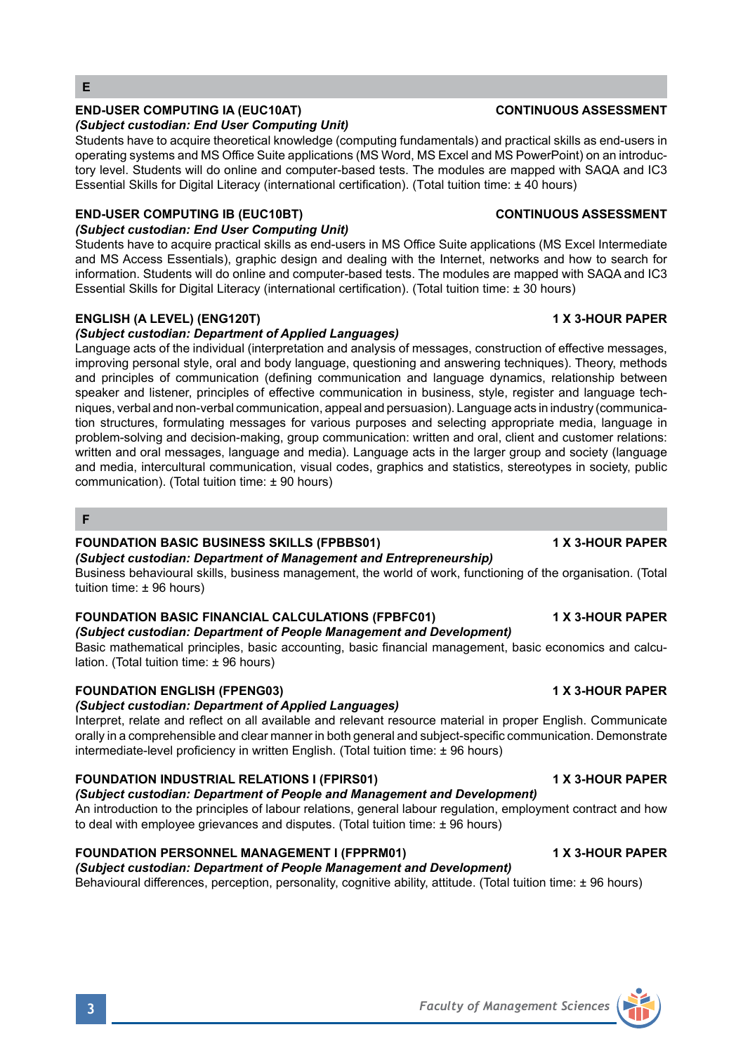# **END-USER COMPUTING IA (EUC10AT) CONTINUOUS ASSESSMENT**

## *(Subject custodian: End User Computing Unit)*

Students have to acquire theoretical knowledge (computing fundamentals) and practical skills as end-users in operating systems and MS Office Suite applications (MS Word, MS Excel and MS PowerPoint) on an introductory level. Students will do online and computer-based tests. The modules are mapped with SAQA and IC3 Essential Skills for Digital Literacy (international certification). (Total tuition time: ± 40 hours)

## **END-USER COMPUTING IB (EUC10BT) CONTINUOUS ASSESSMENT**

## *(Subject custodian: End User Computing Unit)*

Students have to acquire practical skills as end-users in MS Office Suite applications (MS Excel Intermediate and MS Access Essentials), graphic design and dealing with the Internet, networks and how to search for information. Students will do online and computer-based tests. The modules are mapped with SAQA and IC3 Essential Skills for Digital Literacy (international certification). (Total tuition time: ± 30 hours)

### **ENGLISH (A LEVEL) (ENG120T) 1 X 3-HOUR PAPER**

## *(Subject custodian: Department of Applied Languages)*

Language acts of the individual (interpretation and analysis of messages, construction of effective messages, improving personal style, oral and body language, questioning and answering techniques). Theory, methods and principles of communication (defining communication and language dynamics, relationship between speaker and listener, principles of effective communication in business, style, register and language techniques, verbal and non-verbal communication, appeal and persuasion). Language acts in industry (communication structures, formulating messages for various purposes and selecting appropriate media, language in problem-solving and decision-making, group communication: written and oral, client and customer relations: written and oral messages, language and media). Language acts in the larger group and society (language and media, intercultural communication, visual codes, graphics and statistics, stereotypes in society, public communication). (Total tuition time: ± 90 hours)

## **F**

## **FOUNDATION BASIC BUSINESS SKILLS (FPBBS01) 1 X 3-HOUR PAPER**

*(Subject custodian: Department of Management and Entrepreneurship)*

Business behavioural skills, business management, the world of work, functioning of the organisation. (Total tuition time: ± 96 hours)

## **FOUNDATION BASIC FINANCIAL CALCULATIONS (FPBFC01) 1 X 3-HOUR PAPER**

*(Subject custodian: Department of People Management and Development)* Basic mathematical principles, basic accounting, basic financial management, basic economics and calculation. (Total tuition time: ± 96 hours)

### **FOUNDATION ENGLISH (FPENG03) 1 X 3-HOUR PAPER**

### *(Subject custodian: Department of Applied Languages)*

Interpret, relate and reflect on all available and relevant resource material in proper English. Communicate orally in a comprehensible and clear manner in both general and subject-specific communication. Demonstrate intermediate-level proficiency in written English. (Total tuition time: ± 96 hours)

## **FOUNDATION INDUSTRIAL RELATIONS I (FPIRS01) 1 X 3-HOUR PAPER**

# *(Subject custodian: Department of People and Management and Development)*

An introduction to the principles of labour relations, general labour regulation, employment contract and how to deal with employee grievances and disputes. (Total tuition time:  $\pm$  96 hours)

## **FOUNDATION PERSONNEL MANAGEMENT I (FPPRM01) 1 X 3-HOUR PAPER**

*(Subject custodian: Department of People Management and Development)* Behavioural differences, perception, personality, cognitive ability, attitude. (Total tuition time: ± 96 hours)



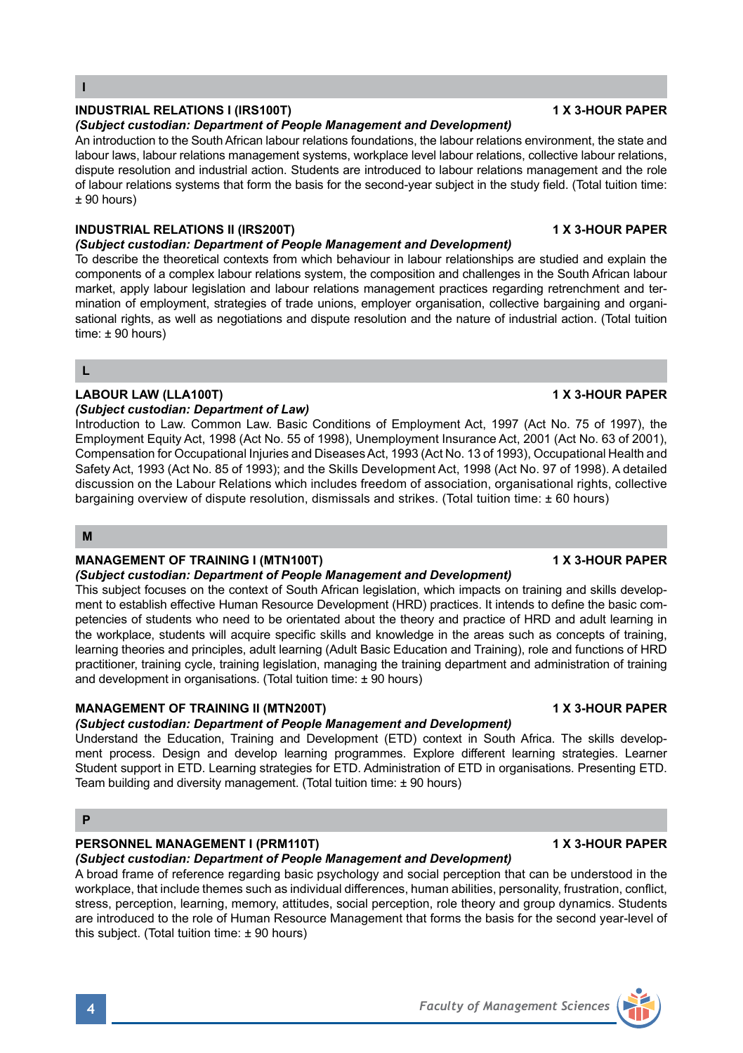## **INDUSTRIAL RELATIONS I (IRS100T) 1 X 3-HOUR PAPER**

### *(Subject custodian: Department of People Management and Development)*

An introduction to the South African labour relations foundations, the labour relations environment, the state and labour laws, labour relations management systems, workplace level labour relations, collective labour relations, dispute resolution and industrial action. Students are introduced to labour relations management and the role of labour relations systems that form the basis for the second-year subject in the study field. (Total tuition time: ± 90 hours)

## **INDUSTRIAL RELATIONS II (IRS200T) 1 X 3-HOUR PAPER**

## *(Subject custodian: Department of People Management and Development)*

To describe the theoretical contexts from which behaviour in labour relationships are studied and explain the components of a complex labour relations system, the composition and challenges in the South African labour market, apply labour legislation and labour relations management practices regarding retrenchment and termination of employment, strategies of trade unions, employer organisation, collective bargaining and organisational rights, as well as negotiations and dispute resolution and the nature of industrial action. (Total tuition time: ± 90 hours)

**L**

## **LABOUR LAW (LLA100T) 1 X 3-HOUR PAPER**

## *(Subject custodian: Department of Law)*

Introduction to Law. Common Law. Basic Conditions of Employment Act, 1997 (Act No. 75 of 1997), the Employment Equity Act, 1998 (Act No. 55 of 1998), Unemployment Insurance Act, 2001 (Act No. 63 of 2001), Compensation for Occupational Injuries and Diseases Act, 1993 (Act No. 13 of 1993), Occupational Health and Safety Act, 1993 (Act No. 85 of 1993); and the Skills Development Act, 1998 (Act No. 97 of 1998). A detailed discussion on the Labour Relations which includes freedom of association, organisational rights, collective bargaining overview of dispute resolution, dismissals and strikes. (Total tuition time: ± 60 hours)

**M**

## **MANAGEMENT OF TRAINING I (MTN100T) 1 X 3-HOUR PAPER**

### *(Subject custodian: Department of People Management and Development)*

This subject focuses on the context of South African legislation, which impacts on training and skills development to establish effective Human Resource Development (HRD) practices. It intends to define the basic competencies of students who need to be orientated about the theory and practice of HRD and adult learning in the workplace, students will acquire specific skills and knowledge in the areas such as concepts of training, learning theories and principles, adult learning (Adult Basic Education and Training), role and functions of HRD practitioner, training cycle, training legislation, managing the training department and administration of training and development in organisations. (Total tuition time: ± 90 hours)

## **MANAGEMENT OF TRAINING II (MTN200T) 1 X 3-HOUR PAPER**

# *(Subject custodian: Department of People Management and Development)*

Understand the Education, Training and Development (ETD) context in South Africa. The skills development process. Design and develop learning programmes. Explore different learning strategies. Learner Student support in ETD. Learning strategies for ETD. Administration of ETD in organisations. Presenting ETD. Team building and diversity management. (Total tuition time: ± 90 hours)

## **P**

# **PERSONNEL MANAGEMENT I (PRM110T) 1 X 3-HOUR PAPER**

# *(Subject custodian: Department of People Management and Development)*

A broad frame of reference regarding basic psychology and social perception that can be understood in the workplace, that include themes such as individual differences, human abilities, personality, frustration, conflict, stress, perception, learning, memory, attitudes, social perception, role theory and group dynamics. Students are introduced to the role of Human Resource Management that forms the basis for the second year-level of this subject. (Total tuition time:  $\pm$  90 hours)